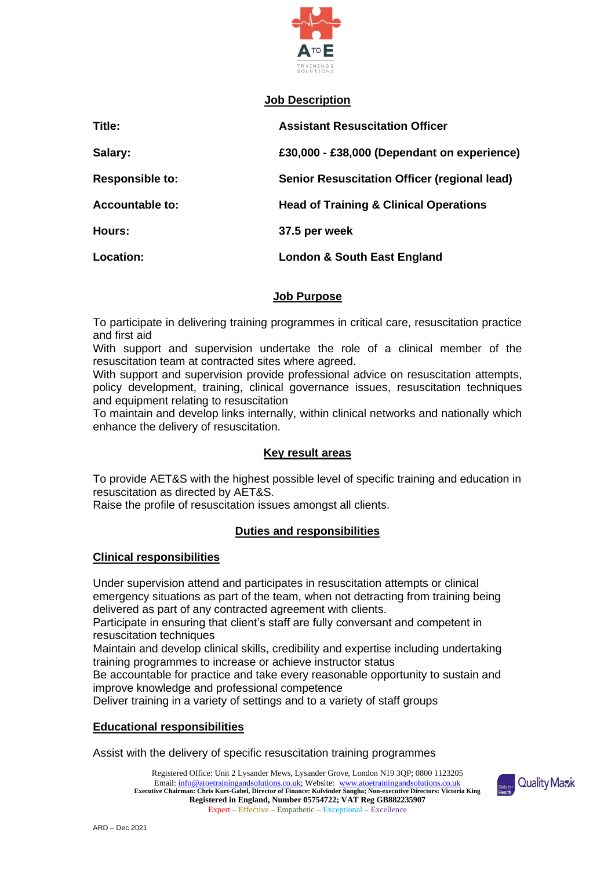

## **Job Description**

| Title:                 | <b>Assistant Resuscitation Officer</b>            |
|------------------------|---------------------------------------------------|
| Salary:                | £30,000 - £38,000 (Dependant on experience)       |
| <b>Responsible to:</b> | Senior Resuscitation Officer (regional lead)      |
| <b>Accountable to:</b> | <b>Head of Training &amp; Clinical Operations</b> |
| Hours:                 | 37.5 per week                                     |
| Location:              | <b>London &amp; South East England</b>            |

## **Job Purpose**

To participate in delivering training programmes in critical care, resuscitation practice and first aid

With support and supervision undertake the role of a clinical member of the resuscitation team at contracted sites where agreed.

With support and supervision provide professional advice on resuscitation attempts, policy development, training, clinical governance issues, resuscitation techniques and equipment relating to resuscitation

To maintain and develop links internally, within clinical networks and nationally which enhance the delivery of resuscitation.

# **Key result areas**

To provide AET&S with the highest possible level of specific training and education in resuscitation as directed by AET&S.

Raise the profile of resuscitation issues amongst all clients.

# **Duties and responsibilities**

#### **Clinical responsibilities**

Under supervision attend and participates in resuscitation attempts or clinical emergency situations as part of the team, when not detracting from training being delivered as part of any contracted agreement with clients.

Participate in ensuring that client's staff are fully conversant and competent in resuscitation techniques

Maintain and develop clinical skills, credibility and expertise including undertaking training programmes to increase or achieve instructor status

Be accountable for practice and take every reasonable opportunity to sustain and improve knowledge and professional competence

Deliver training in a variety of settings and to a variety of staff groups

#### **Educational responsibilities**

Assist with the delivery of specific resuscitation training programmes

Registered Office: Unit 2 Lysander Mews, Lysander Grove, London N19 3QP; 0800 1123205 Email[: info@atoetrainingandsolutions.co.uk;](mailto:info@atoetrainingandsolutions.co.uk) Website: [www.atoetrainingandsolutions.co.uk](http://www.atoetrainingandsolutions.co.uk/) **Executive Chairman: Chris Kurt-Gabel, Director of Finance: Kulvinder Sangha; Non-executive Directors: Victoria King Registered in England, Number 05754722; VAT Reg GB882235907** Expert – Effective – Empathetic – Exceptional – Excellence

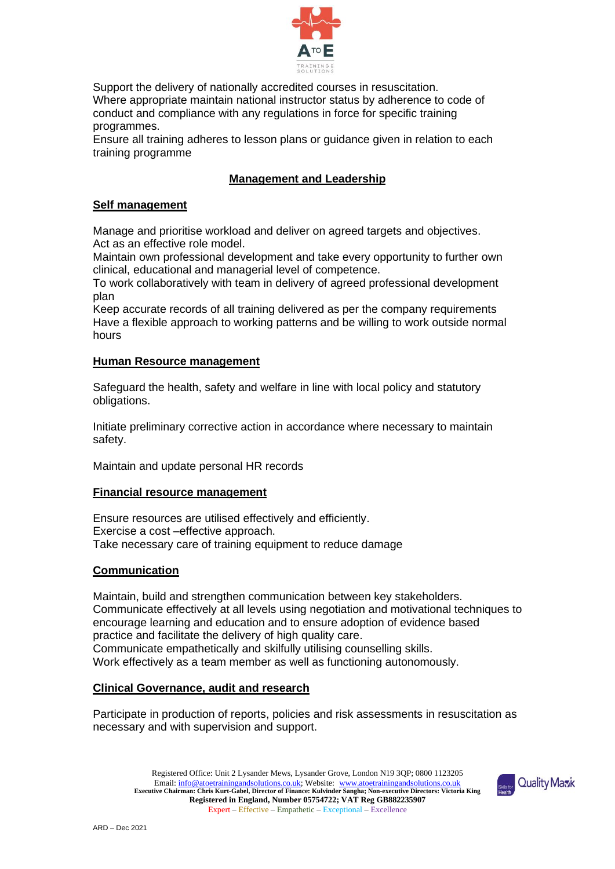

Support the delivery of nationally accredited courses in resuscitation. Where appropriate maintain national instructor status by adherence to code of conduct and compliance with any regulations in force for specific training programmes.

Ensure all training adheres to lesson plans or guidance given in relation to each training programme

# **Management and Leadership**

## **Self management**

Manage and prioritise workload and deliver on agreed targets and objectives. Act as an effective role model.

Maintain own professional development and take every opportunity to further own clinical, educational and managerial level of competence.

To work collaboratively with team in delivery of agreed professional development plan

Keep accurate records of all training delivered as per the company requirements Have a flexible approach to working patterns and be willing to work outside normal hours

## **Human Resource management**

Safeguard the health, safety and welfare in line with local policy and statutory obligations.

Initiate preliminary corrective action in accordance where necessary to maintain safety.

Maintain and update personal HR records

#### **Financial resource management**

Ensure resources are utilised effectively and efficiently. Exercise a cost –effective approach. Take necessary care of training equipment to reduce damage

#### **Communication**

Maintain, build and strengthen communication between key stakeholders. Communicate effectively at all levels using negotiation and motivational techniques to encourage learning and education and to ensure adoption of evidence based practice and facilitate the delivery of high quality care. Communicate empathetically and skilfully utilising counselling skills. Work effectively as a team member as well as functioning autonomously.

#### **Clinical Governance, audit and research**

Participate in production of reports, policies and risk assessments in resuscitation as necessary and with supervision and support.

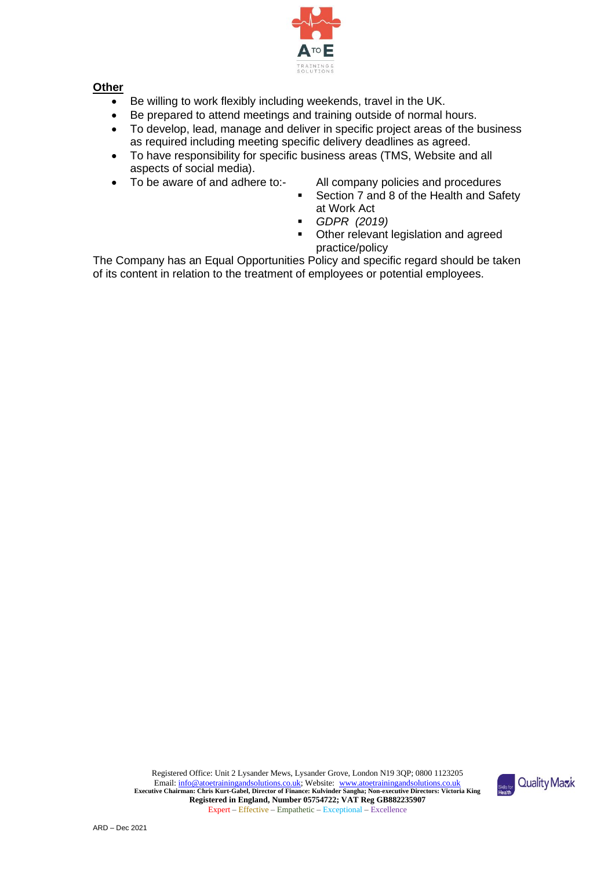

# **Other**

- Be willing to work flexibly including weekends, travel in the UK.
- Be prepared to attend meetings and training outside of normal hours.
- To develop, lead, manage and deliver in specific project areas of the business as required including meeting specific delivery deadlines as agreed.
- To have responsibility for specific business areas (TMS, Website and all aspects of social media).
- - To be aware of and adhere to:- All company policies and procedures
		- Section 7 and 8 of the Health and Safety at Work Act
		- *GDPR (2019)*
		- **Other relevant legislation and agreed** practice/policy

The Company has an Equal Opportunities Policy and specific regard should be taken of its content in relation to the treatment of employees or potential employees.

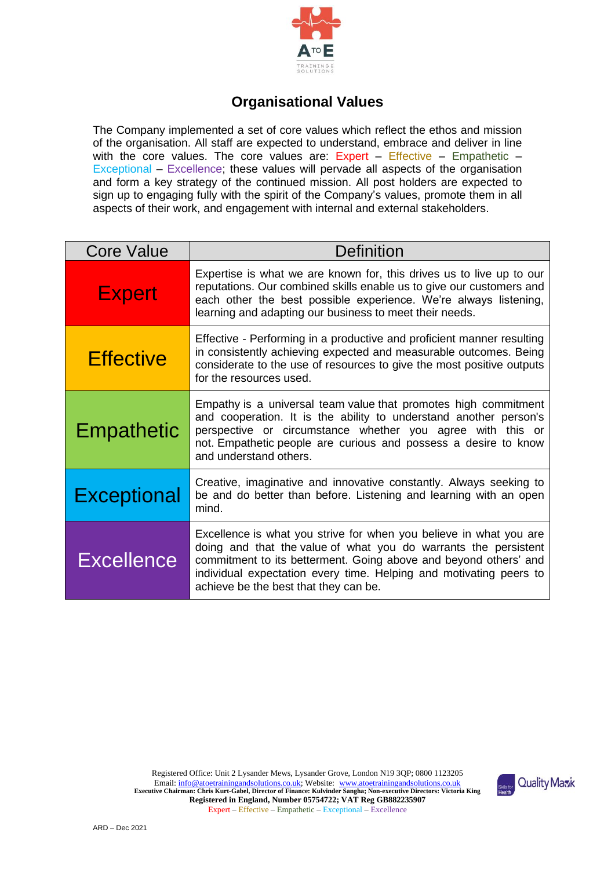

# **Organisational Values**

The Company implemented a set of core values which reflect the ethos and mission of the organisation. All staff are expected to understand, embrace and deliver in line with the core values. The core values are:  $Expert - Effective - Empathetic -$ Exceptional – Excellence; these values will pervade all aspects of the organisation and form a key strategy of the continued mission. All post holders are expected to sign up to engaging fully with the spirit of the Company's values, promote them in all aspects of their work, and engagement with internal and external stakeholders.

| <b>Core Value</b>  | Definition                                                                                                                                                                                                                                                                                                               |  |  |
|--------------------|--------------------------------------------------------------------------------------------------------------------------------------------------------------------------------------------------------------------------------------------------------------------------------------------------------------------------|--|--|
| <b>Expert</b>      | Expertise is what we are known for, this drives us to live up to our<br>reputations. Our combined skills enable us to give our customers and<br>each other the best possible experience. We're always listening,<br>learning and adapting our business to meet their needs.                                              |  |  |
| <b>Effective</b>   | Effective - Performing in a productive and proficient manner resulting<br>in consistently achieving expected and measurable outcomes. Being<br>considerate to the use of resources to give the most positive outputs<br>for the resources used.                                                                          |  |  |
| <b>Empathetic</b>  | Empathy is a universal team value that promotes high commitment<br>and cooperation. It is the ability to understand another person's<br>perspective or circumstance whether you agree with this or<br>not. Empathetic people are curious and possess a desire to know<br>and understand others.                          |  |  |
| <b>Exceptional</b> | Creative, imaginative and innovative constantly. Always seeking to<br>be and do better than before. Listening and learning with an open<br>mind.                                                                                                                                                                         |  |  |
| <b>Excellence</b>  | Excellence is what you strive for when you believe in what you are<br>doing and that the value of what you do warrants the persistent<br>commitment to its betterment. Going above and beyond others' and<br>individual expectation every time. Helping and motivating peers to<br>achieve be the best that they can be. |  |  |

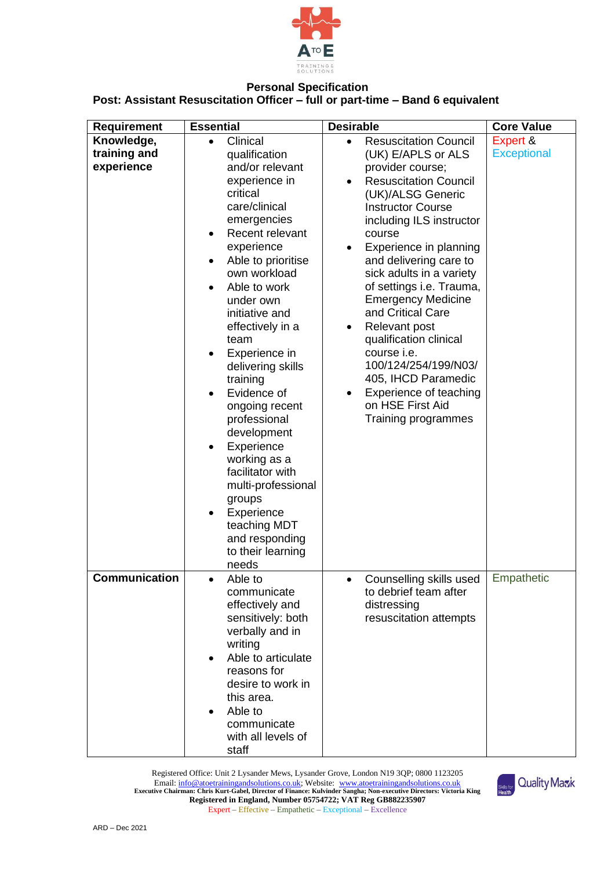

# **Personal Specification Post: Assistant Resuscitation Officer – full or part-time – Band 6 equivalent**

| <b>Requirement</b>                       | <b>Essential</b>                                                                                                                                                                                                                                                                                                                                                                                                                                                                                                                                                    | <b>Desirable</b>                                                                                                                                                                                                                                                                                                                                                                                                                                                                                                                                              | <b>Core Value</b>              |
|------------------------------------------|---------------------------------------------------------------------------------------------------------------------------------------------------------------------------------------------------------------------------------------------------------------------------------------------------------------------------------------------------------------------------------------------------------------------------------------------------------------------------------------------------------------------------------------------------------------------|---------------------------------------------------------------------------------------------------------------------------------------------------------------------------------------------------------------------------------------------------------------------------------------------------------------------------------------------------------------------------------------------------------------------------------------------------------------------------------------------------------------------------------------------------------------|--------------------------------|
| Knowledge,<br>training and<br>experience | Clinical<br>$\bullet$<br>qualification<br>and/or relevant<br>experience in<br>critical<br>care/clinical<br>emergencies<br>Recent relevant<br>٠<br>experience<br>Able to prioritise<br>own workload<br>Able to work<br>$\bullet$<br>under own<br>initiative and<br>effectively in a<br>team<br>Experience in<br>delivering skills<br>training<br>Evidence of<br>ongoing recent<br>professional<br>development<br>Experience<br>working as a<br>facilitator with<br>multi-professional<br>groups<br>Experience<br>teaching MDT<br>and responding<br>to their learning | <b>Resuscitation Council</b><br>$\bullet$<br>(UK) E/APLS or ALS<br>provider course;<br><b>Resuscitation Council</b><br>(UK)/ALSG Generic<br><b>Instructor Course</b><br>including ILS instructor<br>course<br>Experience in planning<br>and delivering care to<br>sick adults in a variety<br>of settings i.e. Trauma,<br><b>Emergency Medicine</b><br>and Critical Care<br>Relevant post<br>qualification clinical<br>course <i>i.e.</i><br>100/124/254/199/N03/<br>405, IHCD Paramedic<br>Experience of teaching<br>on HSE First Aid<br>Training programmes | Expert &<br><b>Exceptional</b> |
| <b>Communication</b>                     | needs<br>Able to<br>$\bullet$<br>communicate<br>effectively and<br>sensitively: both<br>verbally and in<br>writing<br>Able to articulate<br>reasons for<br>desire to work in<br>this area.<br>Able to<br>communicate<br>with all levels of<br>staff                                                                                                                                                                                                                                                                                                                 | Counselling skills used<br>to debrief team after<br>distressing<br>resuscitation attempts                                                                                                                                                                                                                                                                                                                                                                                                                                                                     | Empathetic                     |